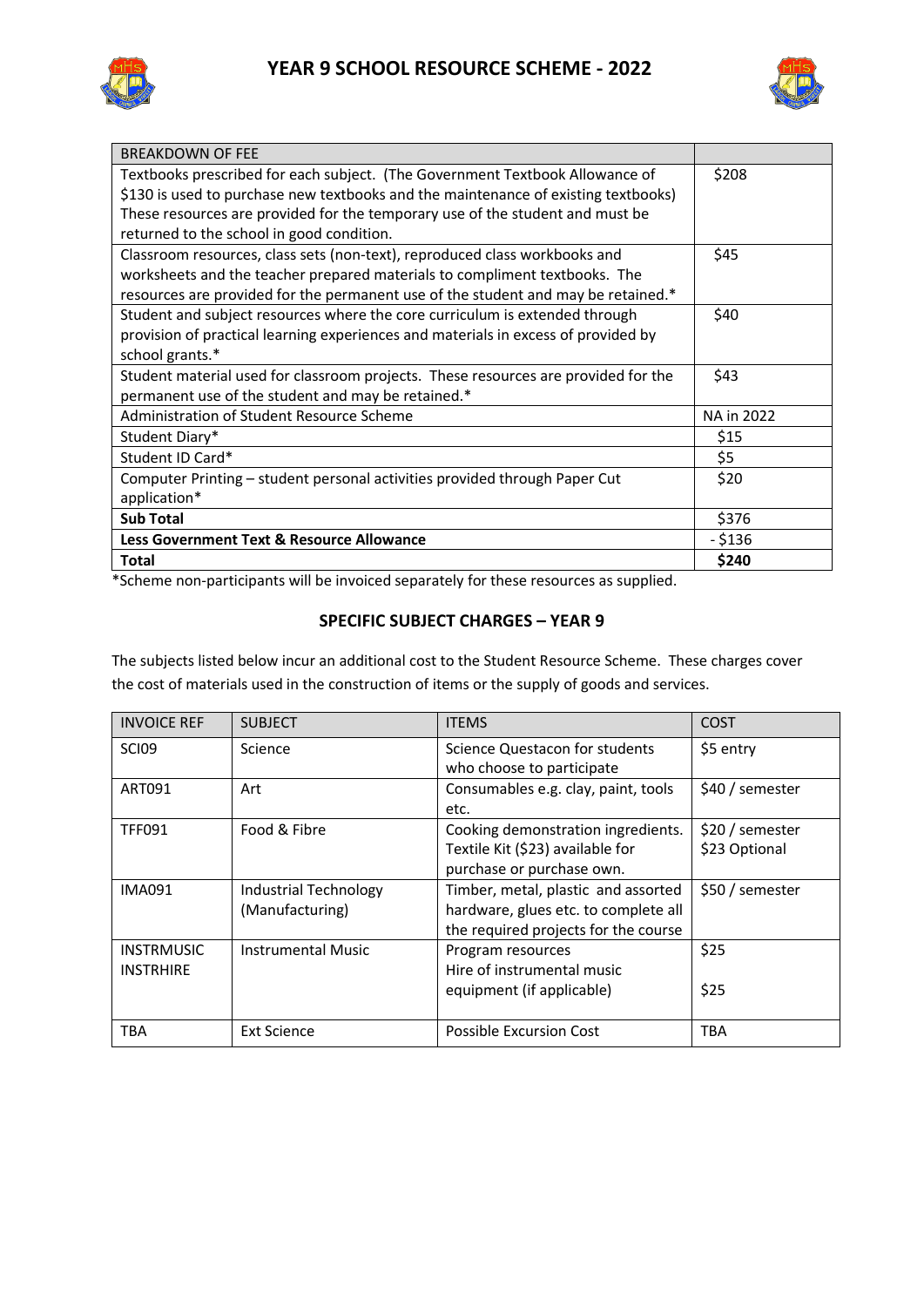



| <b>BREAKDOWN OF FEE</b>                                                            |            |
|------------------------------------------------------------------------------------|------------|
| Textbooks prescribed for each subject. (The Government Textbook Allowance of       | \$208      |
| \$130 is used to purchase new textbooks and the maintenance of existing textbooks) |            |
| These resources are provided for the temporary use of the student and must be      |            |
| returned to the school in good condition.                                          |            |
| Classroom resources, class sets (non-text), reproduced class workbooks and         | \$45       |
| worksheets and the teacher prepared materials to compliment textbooks. The         |            |
| resources are provided for the permanent use of the student and may be retained.*  |            |
| Student and subject resources where the core curriculum is extended through        | \$40       |
| provision of practical learning experiences and materials in excess of provided by |            |
| school grants.*                                                                    |            |
| Student material used for classroom projects. These resources are provided for the | \$43       |
| permanent use of the student and may be retained.*                                 |            |
| Administration of Student Resource Scheme                                          | NA in 2022 |
| Student Diary*                                                                     | \$15       |
| Student ID Card*                                                                   | \$5        |
| Computer Printing - student personal activities provided through Paper Cut         | \$20       |
| application*                                                                       |            |
| <b>Sub Total</b>                                                                   | \$376      |
| <b>Less Government Text &amp; Resource Allowance</b>                               | $-$ \$136  |
| <b>Total</b>                                                                       | \$240      |

\*Scheme non-participants will be invoiced separately for these resources as supplied.

## **SPECIFIC SUBJECT CHARGES – YEAR 9**

The subjects listed below incur an additional cost to the Student Resource Scheme. These charges cover the cost of materials used in the construction of items or the supply of goods and services.

| <b>INVOICE REF</b>                    | <b>SUBJECT</b>                                  | <b>ITEMS</b>                                                                                                        | COST                             |
|---------------------------------------|-------------------------------------------------|---------------------------------------------------------------------------------------------------------------------|----------------------------------|
| <b>SCI09</b>                          | Science                                         | Science Questacon for students<br>who choose to participate                                                         | \$5 entry                        |
| ART091                                | Art                                             | Consumables e.g. clay, paint, tools<br>etc.                                                                         | \$40 / semester                  |
| <b>TFF091</b>                         | Food & Fibre                                    | Cooking demonstration ingredients.<br>Textile Kit (\$23) available for<br>purchase or purchase own.                 | \$20 / semester<br>\$23 Optional |
| <b>IMA091</b>                         | <b>Industrial Technology</b><br>(Manufacturing) | Timber, metal, plastic and assorted<br>hardware, glues etc. to complete all<br>the required projects for the course | \$50 / semester                  |
| <b>INSTRMUSIC</b><br><b>INSTRHIRE</b> | <b>Instrumental Music</b>                       | Program resources<br>Hire of instrumental music<br>equipment (if applicable)                                        | \$25<br>\$25                     |
| <b>TBA</b>                            | <b>Ext Science</b>                              | Possible Excursion Cost                                                                                             | <b>TBA</b>                       |